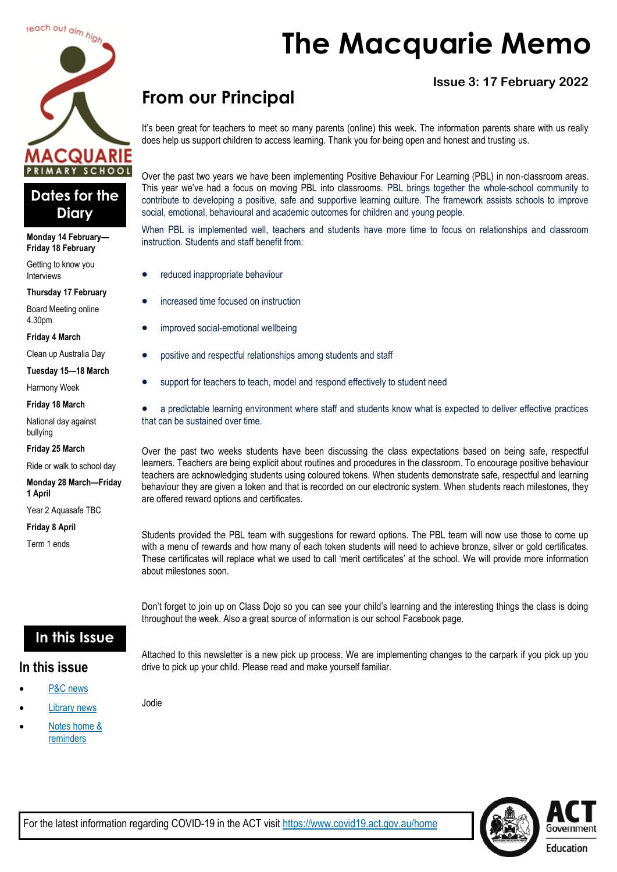



#### **Monday 14 February— Friday 18 February**

Getting to know you Interviews

**Thursday 17 February**

Board Meeting online 4.30pm

**Friday 4 March**

Clean up Australia Day

**Tuesday 15—18 March**

Harmony Week

**Friday 18 March**

National day against bullying

**Friday 25 March**

Ride or walk to school day

**Monday 28 March—Friday 1 April**

Year 2 Aquasafe TBC

**Friday 8 April**

Term 1 ends

# **The Macquarie Memo**

### **Issue 3: 17 February 2022**

# **From our Principal**

It's been great for teachers to meet so many parents (online) this week. The information parents share with us really does help us support children to access learning. Thank you for being open and honest and trusting us.

Over the past two years we have been implementing Positive Behaviour For Learning (PBL) in non-classroom areas. This year we've had a focus on moving PBL into classrooms. PBL brings together the whole-school community to contribute to developing a positive, safe and supportive learning culture. The framework assists schools to improve social, emotional, behavioural and academic outcomes for children and young people.

When PBL is implemented well, teachers and students have more time to focus on relationships and classroom instruction. Students and staff benefit from:

- reduced inappropriate behaviour
- increased time focused on instruction
- improved social-emotional wellbeing
- positive and respectful relationships among students and staff
- support for teachers to teach, model and respond effectively to student need

• a predictable learning environment where staff and students know what is expected to deliver effective practices that can be sustained over time.

Over the past two weeks students have been discussing the class expectations based on being safe, respectful learners. Teachers are being explicit about routines and procedures in the classroom. To encourage positive behaviour teachers are acknowledging students using coloured tokens. When students demonstrate safe, respectful and learning behaviour they are given a token and that is recorded on our electronic system. When students reach milestones, they are offered reward options and certificates.

Students provided the PBL team with suggestions for reward options. The PBL team will now use those to come up with a menu of rewards and how many of each token students will need to achieve bronze, silver or gold certificates. These certificates will replace what we used to call 'merit certificates' at the school. We will provide more information about milestones soon.

Don't forget to join up on Class Dojo so you can see your child's learning and the interesting things the class is doing throughout the week. Also a great source of information is our school Facebook page.

### **In this Issue**

Jodie

#### **In this issue**

- [P&C news](#page-1-0)
- **[Library news](#page-3-0)**
- Notes home & [reminders](#page-4-0)

Attached to this newsletter is a new pick up process. We are implementing changes to the carpark if you pick up you drive to pick up your child. Please read and make yourself familiar.

Education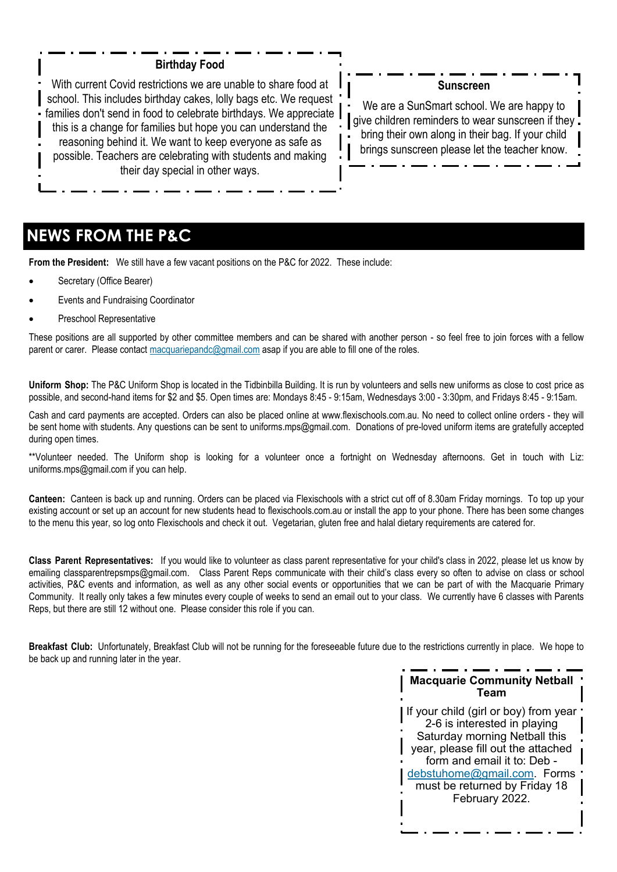#### **Birthday Food**

<span id="page-1-0"></span>With current Covid restrictions we are unable to share food at school. This includes birthday cakes, lolly bags etc. We request families don't send in food to celebrate birthdays. We appreciate this is a change for families but hope you can understand the reasoning behind it. We want to keep everyone as safe as possible. Teachers are celebrating with students and making their day special in other ways.

#### **Sunscreen**

We are a SunSmart school. We are happy to aive children reminders to wear sunscreen if they. bring their own along in their bag. If your child brings sunscreen please let the teacher know.

### **NEWS FROM THE P&C**

**From the President:** We still have a few vacant positions on the P&C for 2022. These include:

- Secretary (Office Bearer)
- Events and Fundraising Coordinator
- Preschool Representative

These positions are all supported by other committee members and can be shared with another person - so feel free to join forces with a fellow parent or carer. Please contact [macquariepandc@gmail.com](mailto:macquariepandc@gmail.com) asap if you are able to fill one of the roles.

**Uniform Shop:** The P&C Uniform Shop is located in the Tidbinbilla Building. It is run by volunteers and sells new uniforms as close to cost price as possible, and second-hand items for \$2 and \$5. Open times are: Mondays 8:45 - 9:15am, Wednesdays 3:00 - 3:30pm, and Fridays 8:45 - 9:15am.

Cash and card payments are accepted. Orders can also be placed online at [www.flexischools.com.au.](https://aus01.safelinks.protection.outlook.com/?url=http%3A%2F%2Fwww.flexischools.com.au%2F&data=04%7C01%7C%7C48dd75975ef44f72af1308d9ecff820f%7Cf1d4a8326c2144759bf48cc7e9044a29%7C0%7C0%7C637801405387619010%7CUnknown%7CTWFpbGZsb3d8eyJWIjoiMC4wLjAwMDAiLCJQIjoi) No need to collect online orders - they will be sent home with students. Any questions can be sent to [uniforms.mps@gmail.com.](mailto:uniforms.mps@gmail.com) Donations of pre-loved uniform items are gratefully accepted during open times.

\*\*Volunteer needed. The Uniform shop is looking for a volunteer once a fortnight on Wednesday afternoons. Get in touch with Liz: [uniforms.mps@gmail.com i](mailto:uniforms.mps@gmail.com)f you can help.

**Canteen:** Canteen is back up and running. Orders can be placed via Flexischools with a strict cut off of 8.30am Friday mornings. To top up your existing account or set up an account for new students head to flexischools.com.au or install the app to your phone. There has been some changes to the menu this year, so log onto Flexischools and check it out. Vegetarian, gluten free and halal dietary requirements are catered for.

**Class Parent Representatives:** If you would like to volunteer as class parent representative for your child's class in 2022, please let us know by emailing [classparentrepsmps@gmail.com.](mailto:classparentrepsmps@gmail.com) Class Parent Reps communicate with their child's class every so often to advise on class or school activities, P&C events and information, as well as any other social events or opportunities that we can be part of with the Macquarie Primary Community. It really only takes a few minutes every couple of weeks to send an email out to your class. We currently have 6 classes with Parents Reps, but there are still 12 without one. Please consider this role if you can.

**Breakfast Club:** Unfortunately, Breakfast Club will not be running for the foreseeable future due to the restrictions currently in place. We hope to be back up and running later in the year.

#### **Macquarie Community Netball Team**

If your child (girl or boy) from year ' 2-6 is interested in playing Saturday morning Netball this year, please fill out the attached form and email it to: Deb [debstuhome@gmail.com.](mailto:debstuhome@gmail.com) Forms must be returned by Friday 18 February 2022.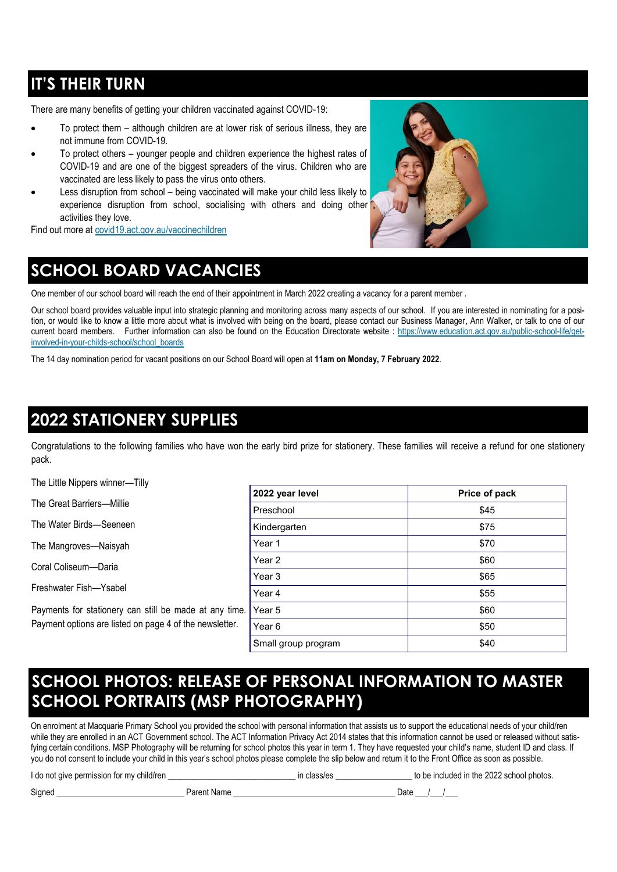## **IT'S THEIR TURN**

There are many benefits of getting your children vaccinated against COVID-19:

- To protect them although children are at lower risk of serious illness, they are not immune from COVID-19.
- To protect others younger people and children experience the highest rates of COVID-19 and are one of the biggest spreaders of the virus. Children who are vaccinated are less likely to pass the virus onto others.
- Less disruption from school being vaccinated will make your child less likely to experience disruption from school, socialising with others and doing other activities they love.

Find out more at [covid19.act.gov.au/vaccinechildren](http://www.covid19.act.gov.au/vaccinechildren)

# **SCHOOL BOARD VACANCIES**

One member of our school board will reach the end of their appointment in March 2022 creating a vacancy for a parent member.

Our school board provides valuable input into strategic planning and monitoring across many aspects of our school. If you are interested in nominating for a position, or would like to know a little more about what is involved with being on the board, please contact our Business Manager, Ann Walker, or talk to one of our current board members. Further information can also be found on the Education Directorate website : [https://www.education.act.gov.au/public-school-life/get](https://www.education.act.gov.au/public-school-life/get-involved-in-your-childs-school/school_boards)[involved-in-your-childs-school/school\\_boards](https://www.education.act.gov.au/public-school-life/get-involved-in-your-childs-school/school_boards)

The 14 day nomination period for vacant positions on our School Board will open at **11am on Monday, 7 February 2022**.

### **2022 STATIONERY SUPPLIES**

Congratulations to the following families who have won the early bird prize for stationery. These families will receive a refund for one stationery pack.

The Little Nippers winner—Tilly

The Great Barriers—Millie

The Water Birds—Seeneen

The Mangroves—Naisyah

Coral Coliseum—Daria

Freshwater Fish—Ysabel

Payments for stationery can still be made at any time. Payment options are listed on page 4 of the newsletter.

| 2022 year level     | Price of pack |
|---------------------|---------------|
| Preschool           | \$45          |
| Kindergarten        | \$75          |
| Year 1              | \$70          |
| Year 2              | \$60          |
| Year 3              | \$65          |
| Year 4              | \$55          |
| Year <sub>5</sub>   | \$60          |
| Year <sub>6</sub>   | \$50          |
| Small group program | \$40          |

### **SCHOOL PHOTOS: RELEASE OF PERSONAL INFORMATION TO MASTER SCHOOL PORTRAITS (MSP PHOTOGRAPHY)**

On enrolment at Macquarie Primary School you provided the school with personal information that assists us to support the educational needs of your child/ren while they are enrolled in an ACT Government school. The ACT Information Privacy Act 2014 states that this information cannot be used or released without satisfying certain conditions. MSP Photography will be returning for school photos this year in term 1. They have requested your child's name, student ID and class. If you do not consent to include your child in this year's school photos please complete the slip below and return it to the Front Office as soon as possible.

| I do not give permission for my child/ren |             | in class/es | to be included in the 2022 school photos. |
|-------------------------------------------|-------------|-------------|-------------------------------------------|
| Sianec                                    | Parent Name | ⊃ate        |                                           |

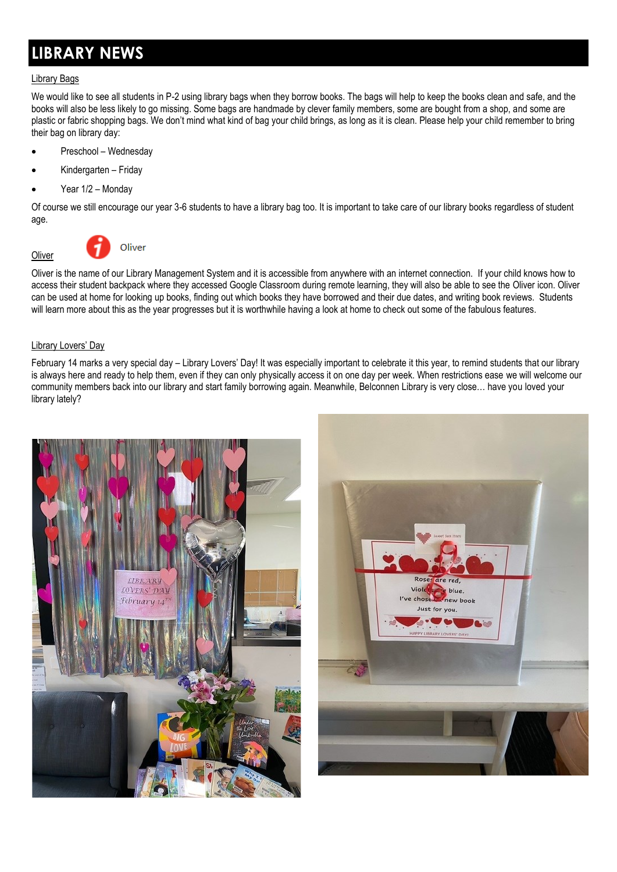## <span id="page-3-0"></span>**LIBRARY NEWS**

#### Library Bags

We would like to see all students in P-2 using library bags when they borrow books. The bags will help to keep the books clean and safe, and the books will also be less likely to go missing. Some bags are handmade by clever family members, some are bought from a shop, and some are plastic or fabric shopping bags. We don't mind what kind of bag your child brings, as long as it is clean. Please help your child remember to bring their bag on library day:

- Preschool Wednesday
- Kindergarten Friday
- Year  $1/2$  Monday

Of course we still encourage our year 3-6 students to have a library bag too. It is important to take care of our library books regardless of student age.



**Oliver** 



Oliver is the name of our Library Management System and it is accessible from anywhere with an internet connection. If your child knows how to access their student backpack where they accessed Google Classroom during remote learning, they will also be able to see the Oliver icon. Oliver can be used at home for looking up books, finding out which books they have borrowed and their due dates, and writing book reviews. Students will learn more about this as the year progresses but it is worthwhile having a look at home to check out some of the fabulous features.

#### Library Lovers' Day

February 14 marks a very special day – Library Lovers' Day! It was especially important to celebrate it this year, to remind students that our library is always here and ready to help them, even if they can only physically access it on one day per week. When restrictions ease we will welcome our community members back into our library and start family borrowing again. Meanwhile, Belconnen Library is very close… have you loved your library lately?